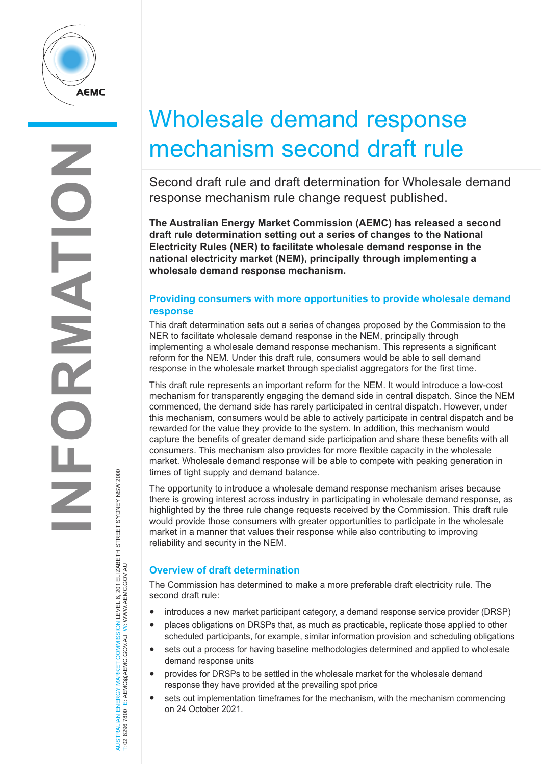

# Wholesale demand response mechanism second draft rule

Second draft rule and draft determination for Wholesale demand response mechanism rule change request published.

**The Australian Energy Market Commission (AEMC) has released a second draft rule determination setting out a series of changes to the National Electricity Rules (NER) to facilitate wholesale demand response in the national electricity market (NEM), principally through implementing a wholesale demand response mechanism.**

### **Providing consumers with more opportunities to provide wholesale demand response**

This draft determination sets out a series of changes proposed by the Commission to the NER to facilitate wholesale demand response in the NEM, principally through implementing a wholesale demand response mechanism. This represents a significant reform for the NEM. Under this draft rule, consumers would be able to sell demand response in the wholesale market through specialist aggregators for the first time.

This draft rule represents an important reform for the NEM. It would introduce a low-cost mechanism for transparently engaging the demand side in central dispatch. Since the NEM commenced, the demand side has rarely participated in central dispatch. However, under this mechanism, consumers would be able to actively participate in central dispatch and be rewarded for the value they provide to the system. In addition, this mechanism would capture the benefits of greater demand side participation and share these benefits with all consumers. This mechanism also provides for more flexible capacity in the wholesale market. Wholesale demand response will be able to compete with peaking generation in times of tight supply and demand balance.

The opportunity to introduce a wholesale demand response mechanism arises because there is growing interest across industry in participating in wholesale demand response, as highlighted by the three rule change requests received by the Commission. This draft rule would provide those consumers with greater opportunities to participate in the wholesale market in a manner that values their response while also contributing to improving reliability and security in the NEM.

## **Overview of draft determination**

The Commission has determined to make a more preferable draft electricity rule. The second draft rule:

- introduces a new market participant category, a demand response service provider (DRSP)
- places obligations on DRSPs that, as much as practicable, replicate those applied to other scheduled participants, for example, similar information provision and scheduling obligations
- sets out a process for having baseline methodologies determined and applied to wholesale demand response units
- provides for DRSPs to be settled in the wholesale market for the wholesale demand response they have provided at the prevailing spot price
- sets out implementation timeframes for the mechanism, with the mechanism commencing on 24 October 2021.

AUSTRALIAN ENERGY MARKET COMMISSION LEVEL 6, 201 ELIZABETH STREET SYDNEY NSW 2000<br>T: 02 8296 7800 E: AEMC@AEMC.GOV.AU W: WWW.AEMC.GOV.AU AUSTRALIAN ENERGY MARKET COMMISSION LEVEL 6, 201 ELIZABETH STREET SYDNEY NSW 2000 T: 02 8296 7800 E: AEMC@AEMC.GOV.AU W: WWW.AEMC.GOV.AU